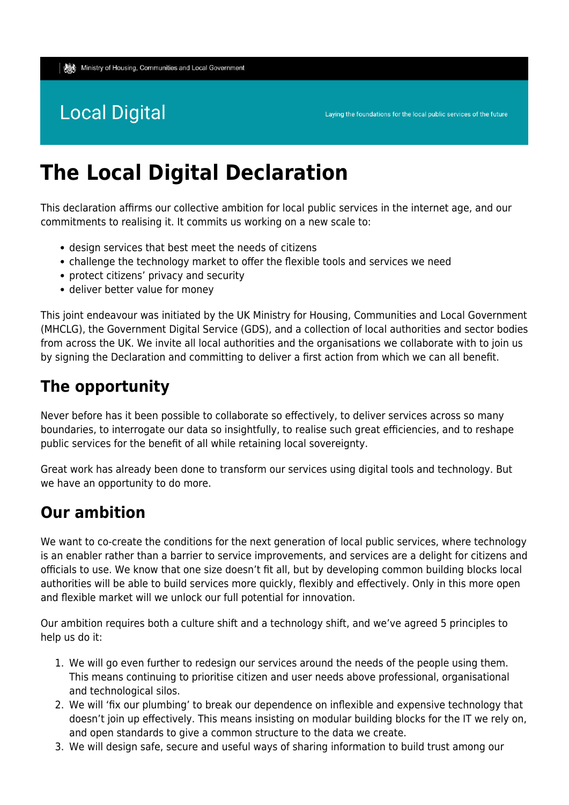# **Local Digital**

# **The Local Digital Declaration**

This declaration affirms our collective ambition for local public services in the internet age, and our commitments to realising it. It commits us working on a new scale to:

- design services that best meet the needs of citizens
- challenge the technology market to offer the flexible tools and services we need
- protect citizens' privacy and security
- deliver better value for money

This joint endeavour was initiated by the UK Ministry for Housing, Communities and Local Government (MHCLG), the Government Digital Service (GDS), and a collection of local authorities and sector bodies from across the UK. We invite all local authorities and the organisations we collaborate with to join us by signing the Declaration and committing to deliver a first action from which we can all benefit.

## **The opportunity**

Never before has it been possible to collaborate so effectively, to deliver services across so many boundaries, to interrogate our data so insightfully, to realise such great efficiencies, and to reshape public services for the benefit of all while retaining local sovereignty.

Great work has already been done to transform our services using digital tools and technology. But we have an opportunity to do more.

## **Our ambition**

We want to co-create the conditions for the next generation of local public services, where technology is an enabler rather than a barrier to service improvements, and services are a delight for citizens and officials to use. We know that one size doesn't fit all, but by developing common building blocks local authorities will be able to build services more quickly, flexibly and effectively. Only in this more open and flexible market will we unlock our full potential for innovation.

Our ambition requires both a culture shift and a technology shift, and we've agreed 5 principles to help us do it:

- 1. We will go even further to redesign our services around the needs of the people using them. This means continuing to prioritise citizen and user needs above professional, organisational and technological silos.
- 2. We will 'fix our plumbing' to break our dependence on inflexible and expensive technology that doesn't join up effectively. This means insisting on modular building blocks for the IT we rely on, and open standards to give a common structure to the data we create.
- 3. We will design safe, secure and useful ways of sharing information to build trust among our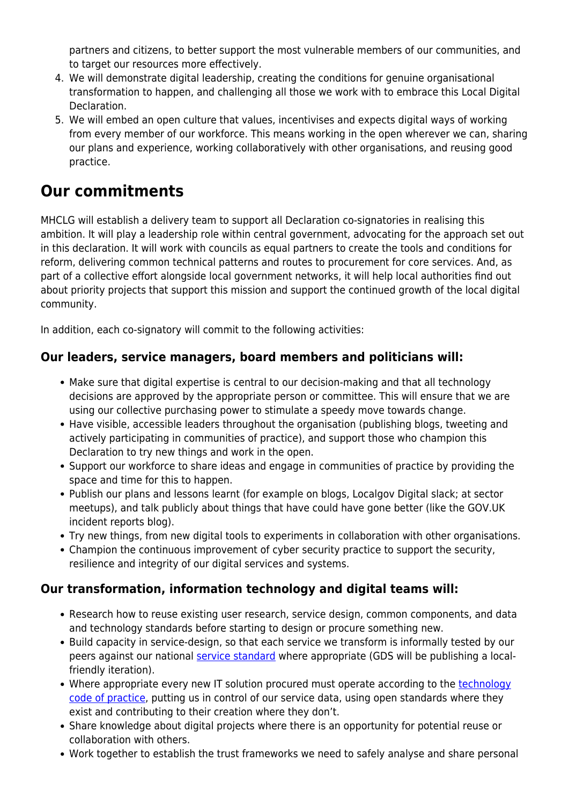partners and citizens, to better support the most vulnerable members of our communities, and to target our resources more effectively.

- 4. We will demonstrate digital leadership, creating the conditions for genuine organisational transformation to happen, and challenging all those we work with to embrace this Local Digital Declaration.
- 5. We will embed an open culture that values, incentivises and expects digital ways of working from every member of our workforce. This means working in the open wherever we can, sharing our plans and experience, working collaboratively with other organisations, and reusing good practice.

## **Our commitments**

MHCLG will establish a delivery team to support all Declaration co-signatories in realising this ambition. It will play a leadership role within central government, advocating for the approach set out in this declaration. It will work with councils as equal partners to create the tools and conditions for reform, delivering common technical patterns and routes to procurement for core services. And, as part of a collective effort alongside local government networks, it will help local authorities find out about priority projects that support this mission and support the continued growth of the local digital community.

In addition, each co-signatory will commit to the following activities:

## **Our leaders, service managers, board members and politicians will:**

- Make sure that digital expertise is central to our decision-making and that all technology decisions are approved by the appropriate person or committee. This will ensure that we are using our collective purchasing power to stimulate a speedy move towards change.
- Have visible, accessible leaders throughout the organisation (publishing blogs, tweeting and actively participating in communities of practice), and support those who champion this Declaration to try new things and work in the open.
- Support our workforce to share ideas and engage in communities of practice by providing the space and time for this to happen.
- Publish our plans and lessons learnt (for example on blogs, Localgov Digital slack; at sector meetups), and talk publicly about things that have could have gone better (like the GOV.UK incident reports blog).
- Try new things, from new digital tools to experiments in collaboration with other organisations.
- Champion the continuous improvement of cyber security practice to support the security, resilience and integrity of our digital services and systems.

### **Our transformation, information technology and digital teams will:**

- Research how to reuse existing user research, service design, common components, and data and technology standards before starting to design or procure something new.
- Build capacity in service-design, so that each service we transform is informally tested by our peers against our national [service standard](https://www.gov.uk/service-manual/service-standard) where appropriate (GDS will be publishing a localfriendly iteration).
- Where appropriate every new IT solution procured must operate according to the [technology](https://www.gov.uk/government/publications/technology-code-of-practice/technology-code-of-practice) [code of practice](https://www.gov.uk/government/publications/technology-code-of-practice/technology-code-of-practice), putting us in control of our service data, using open standards where they exist and contributing to their creation where they don't.
- Share knowledge about digital projects where there is an opportunity for potential reuse or collaboration with others.
- Work together to establish the trust frameworks we need to safely analyse and share personal